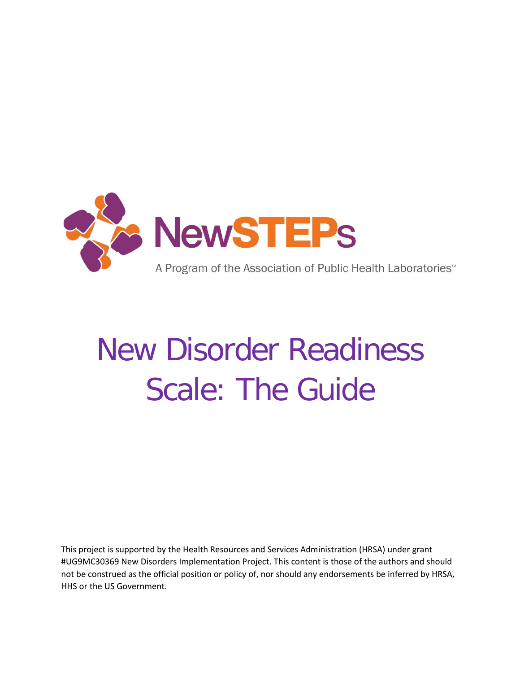

# New Disorder Readiness Scale: The Guide

This project is supported by the Health Resources and Services Administration (HRSA) under grant #UG9MC30369 New Disorders Implementation Project. This content is those of the authors and should not be construed as the official position or policy of, nor should any endorsements be inferred by HRSA, HHS or the US Government.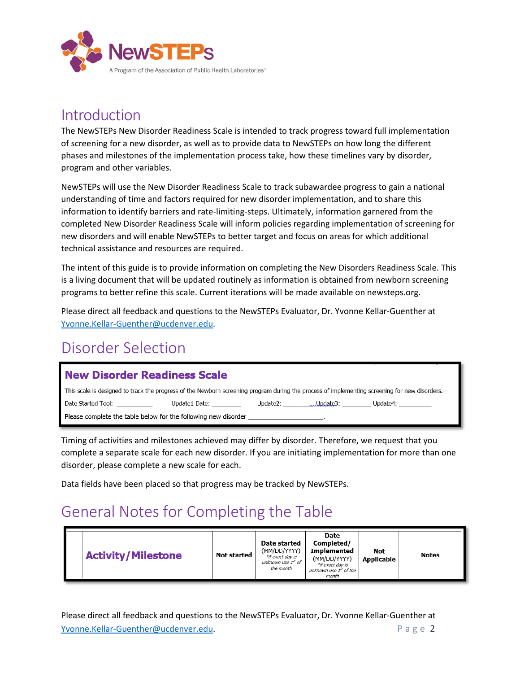

#### Introduction

The NewSTEPs New Disorder Readiness Scale is intended to track progress toward full implementation of screening for a new disorder, as well as to provide data to NewSTEPs on how long the different phases and milestones of the implementation process take, how these timelines vary by disorder, program and other variables.

NewSTEPs will use the New Disorder Readiness Scale to track subawardee progress to gain a national understanding of time and factors required for new disorder implementation, and to share this information to identify barriers and rate-limiting-steps. Ultimately, information garnered from the completed New Disorder Readiness Scale will inform policies regarding implementation of screening for new disorders and will enable NewSTEPs to better target and focus on areas for which additional technical assistance and resources are required.

The intent of this guide is to provide information on completing the New Disorders Readiness Scale. This is a living document that will be updated routinely as information is obtained from newborn screening programs to better refine this scale. Current iterations will be made available on newsteps.org.

Please direct all feedback and questions to the NewSTEPs Evaluator, Dr. Yvonne Kellar-Guenther at [Yvonne.Kellar-Guenther@ucdenver.edu.](mailto:Yvonne.Kellar-Guenther@ucdenver.edu)

#### Disorder Selection

#### **New Disorder Readiness Scale**

This scale is designed to track the progress of the Newborn screening program during the process of implementing screening for new disorders. Date Started Tool: Update1 Date: \_\_\_  $\_$  Update4:  $\_$ Please complete the table below for the following new disorder \_

Timing of activities and milestones achieved may differ by disorder. Therefore, we request that you complete a separate scale for each new disorder. If you are initiating implementation for more than one disorder, please complete a new scale for each.

Data fields have been placed so that progress may be tracked by NewSTEPs.

#### General Notes for Completing the Table

| <b>Activity/Milestone</b><br>Not started | Date started<br>(MM/DD/YYYY)<br>*if exact day is<br>unknown use 1st of<br>the month | Date<br>Completed/<br><b>Implemented</b><br>(MM/DD/YYYY)<br>*if exact day is<br>unknown use 1st of the<br>month | Not<br><b>Applicable</b> | <b>Notes</b> |
|------------------------------------------|-------------------------------------------------------------------------------------|-----------------------------------------------------------------------------------------------------------------|--------------------------|--------------|
|------------------------------------------|-------------------------------------------------------------------------------------|-----------------------------------------------------------------------------------------------------------------|--------------------------|--------------|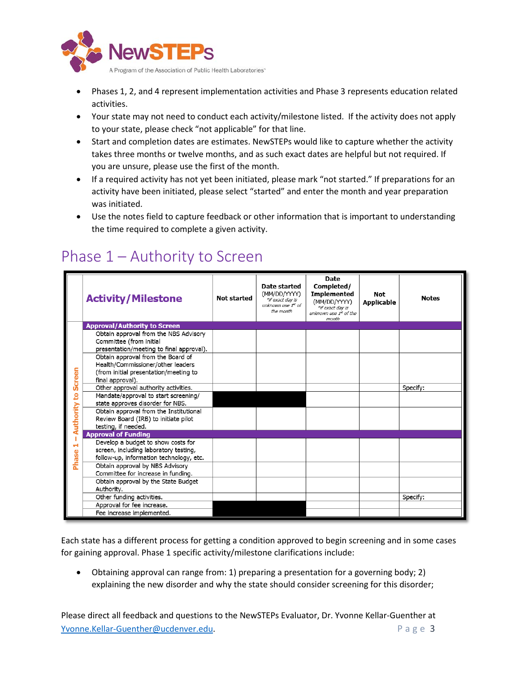

- Phases 1, 2, and 4 represent implementation activities and Phase 3 represents education related activities.
- Your state may not need to conduct each activity/milestone listed. If the activity does not apply to your state, please check "not applicable" for that line.
- Start and completion dates are estimates. NewSTEPs would like to capture whether the activity takes three months or twelve months, and as such exact dates are helpful but not required. If you are unsure, please use the first of the month.
- If a required activity has not yet been initiated, please mark "not started." If preparations for an activity have been initiated, please select "started" and enter the month and year preparation was initiated.
- Use the notes field to capture feedback or other information that is important to understanding the time required to complete a given activity.

|               | <b>Activity/Milestone</b>                                             | <b>Not started</b> | Date started<br>(MM/DD/YYYY)<br>*if exact day is<br>unknown use 1st of<br>the month | <b>Date</b><br>Completed/<br><b>Implemented</b><br>(MM/DD/YYYY)<br>*if exact day is<br>unknown use 1st of the | Not<br><b>Applicable</b> | <b>Notes</b> |
|---------------|-----------------------------------------------------------------------|--------------------|-------------------------------------------------------------------------------------|---------------------------------------------------------------------------------------------------------------|--------------------------|--------------|
|               |                                                                       |                    |                                                                                     | month                                                                                                         |                          |              |
|               | <b>Approval/Authority to Screen</b>                                   |                    |                                                                                     |                                                                                                               |                          |              |
|               | Obtain approval from the NBS Advisory                                 |                    |                                                                                     |                                                                                                               |                          |              |
|               | Committee (from initial                                               |                    |                                                                                     |                                                                                                               |                          |              |
|               | presentation/meeting to final approval).                              |                    |                                                                                     |                                                                                                               |                          |              |
|               | Obtain approval from the Board of                                     |                    |                                                                                     |                                                                                                               |                          |              |
|               | Health/Commissioner/other leaders                                     |                    |                                                                                     |                                                                                                               |                          |              |
|               | (from initial presentation/meeting to                                 |                    |                                                                                     |                                                                                                               |                          |              |
| <b>Screen</b> | final approval).                                                      |                    |                                                                                     |                                                                                                               |                          |              |
|               | Other approval authority activities.                                  |                    |                                                                                     |                                                                                                               |                          | Specify:     |
| g             | Mandate/approval to start screening/                                  |                    |                                                                                     |                                                                                                               |                          |              |
| Authority     | state approves disorder for NBS.                                      |                    |                                                                                     |                                                                                                               |                          |              |
|               | Obtain approval from the Institutional                                |                    |                                                                                     |                                                                                                               |                          |              |
|               | Review Board (IRB) to initiate pilot<br>testing, if needed.           |                    |                                                                                     |                                                                                                               |                          |              |
|               | <b>Approval of Funding</b>                                            |                    |                                                                                     |                                                                                                               |                          |              |
|               | Develop a budget to show costs for                                    |                    |                                                                                     |                                                                                                               |                          |              |
|               | screen, including laboratory testing,                                 |                    |                                                                                     |                                                                                                               |                          |              |
|               | follow-up, information technology, etc.                               |                    |                                                                                     |                                                                                                               |                          |              |
| Phase         |                                                                       |                    |                                                                                     |                                                                                                               |                          |              |
|               | Obtain approval by NBS Advisory<br>Committee for increase in funding. |                    |                                                                                     |                                                                                                               |                          |              |
|               | Obtain approval by the State Budget                                   |                    |                                                                                     |                                                                                                               |                          |              |
|               | Authority.                                                            |                    |                                                                                     |                                                                                                               |                          |              |
|               | Other funding activities.                                             |                    |                                                                                     |                                                                                                               |                          | Specify:     |
|               | Approval for fee increase.                                            |                    |                                                                                     |                                                                                                               |                          |              |
|               |                                                                       |                    |                                                                                     |                                                                                                               |                          |              |
|               | Fee increase implemented.                                             |                    |                                                                                     |                                                                                                               |                          |              |

#### Phase 1 – Authority to Screen

Each state has a different process for getting a condition approved to begin screening and in some cases for gaining approval. Phase 1 specific activity/milestone clarifications include:

• Obtaining approval can range from: 1) preparing a presentation for a governing body; 2) explaining the new disorder and why the state should consider screening for this disorder;

Please direct all feedback and questions to the NewSTEPs Evaluator, Dr. Yvonne Kellar-Guenther at [Yvonne.Kellar-Guenther@ucdenver.edu.](mailto:Yvonne.Kellar-Guenther@ucdenver.edu) Page 3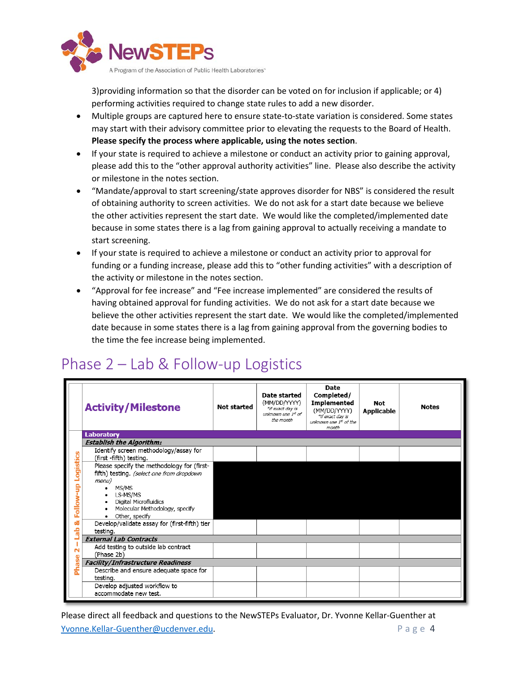

3)providing information so that the disorder can be voted on for inclusion if applicable; or 4) performing activities required to change state rules to add a new disorder.

- Multiple groups are captured here to ensure state-to-state variation is considered. Some states may start with their advisory committee prior to elevating the requests to the Board of Health. **Please specify the process where applicable, using the notes section**.
- If your state is required to achieve a milestone or conduct an activity prior to gaining approval, please add this to the "other approval authority activities" line. Please also describe the activity or milestone in the notes section.
- "Mandate/approval to start screening/state approves disorder for NBS" is considered the result of obtaining authority to screen activities. We do not ask for a start date because we believe the other activities represent the start date. We would like the completed/implemented date because in some states there is a lag from gaining approval to actually receiving a mandate to start screening.
- If your state is required to achieve a milestone or conduct an activity prior to approval for funding or a funding increase, please add this to "other funding activities" with a description of the activity or milestone in the notes section.
- "Approval for fee increase" and "Fee increase implemented" are considered the results of having obtained approval for funding activities. We do not ask for a start date because we believe the other activities represent the start date. We would like the completed/implemented date because in some states there is a lag from gaining approval from the governing bodies to the time the fee increase being implemented.

#### Phase 2 – Lab & Follow-up Logistics

|                        | <b>Activity/Milestone</b>                                                                                                                                                          | <b>Not started</b> | Date started<br>(MM/DD/YYYY)<br>*if exact day is<br>unknown use 1st of<br>the month | Date<br>Completed/<br><b>Implemented</b><br>(MM/DD/YYYY)<br>*if exact day is<br>unknown use 1st of the<br>month | Not<br><b>Applicable</b> | <b>Notes</b> |  |
|------------------------|------------------------------------------------------------------------------------------------------------------------------------------------------------------------------------|--------------------|-------------------------------------------------------------------------------------|-----------------------------------------------------------------------------------------------------------------|--------------------------|--------------|--|
|                        | <b>Laboratory</b>                                                                                                                                                                  |                    |                                                                                     |                                                                                                                 |                          |              |  |
|                        | <b>Establish the Algorithm1</b>                                                                                                                                                    |                    |                                                                                     |                                                                                                                 |                          |              |  |
|                        | Identify screen methodology/assay for<br>(first -fifth) testing.                                                                                                                   |                    |                                                                                     |                                                                                                                 |                          |              |  |
| Logistics<br>Follow-up | Please specify the methodology for (first-<br>fifth) testing. (select one from dropdown<br>menu)<br>MS/MS<br>• LS-MS/MS<br>Digital Microfluidics<br>Molecular Methodology, specify |                    |                                                                                     |                                                                                                                 |                          |              |  |
| ಷ                      | Other, specify                                                                                                                                                                     |                    |                                                                                     |                                                                                                                 |                          |              |  |
| 슴                      | Develop/validate assay for (first-fifth) tier<br>testing.                                                                                                                          |                    |                                                                                     |                                                                                                                 |                          |              |  |
|                        | <b>External Lab Contracts</b>                                                                                                                                                      |                    |                                                                                     |                                                                                                                 |                          |              |  |
| N                      | Add testing to outside lab contract<br>(Phase 2b)                                                                                                                                  |                    |                                                                                     |                                                                                                                 |                          |              |  |
| <b>Phase</b>           | <b>Facility/Infrastructure Readiness</b>                                                                                                                                           |                    |                                                                                     |                                                                                                                 |                          |              |  |
|                        | Describe and ensure adequate space for<br>testing.                                                                                                                                 |                    |                                                                                     |                                                                                                                 |                          |              |  |
|                        | Develop adjusted workflow to<br>accommodate new test.                                                                                                                              |                    |                                                                                     |                                                                                                                 |                          |              |  |

Please direct all feedback and questions to the NewSTEPs Evaluator, Dr. Yvonne Kellar-Guenther at [Yvonne.Kellar-Guenther@ucdenver.edu.](mailto:Yvonne.Kellar-Guenther@ucdenver.edu) Page 4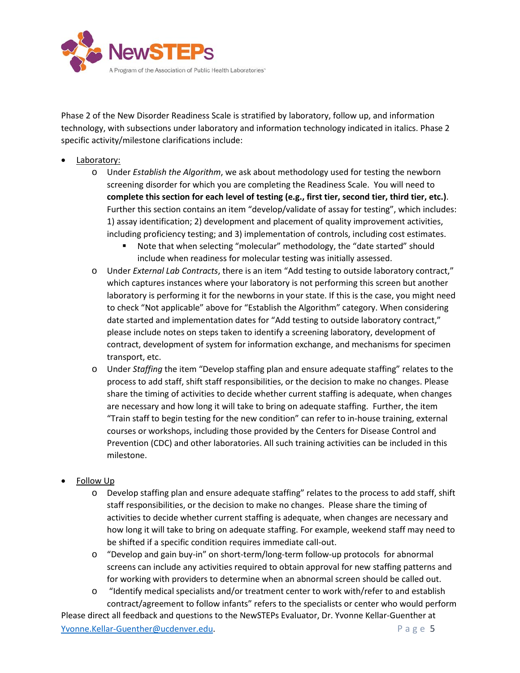

Phase 2 of the New Disorder Readiness Scale is stratified by laboratory, follow up, and information technology, with subsections under laboratory and information technology indicated in italics. Phase 2 specific activity/milestone clarifications include:

- Laboratory:
	- o Under *Establish the Algorithm*, we ask about methodology used for testing the newborn screening disorder for which you are completing the Readiness Scale. You will need to **complete this section for each level of testing (e.g., first tier, second tier, third tier, etc.)**. Further this section contains an item "develop/validate of assay for testing", which includes: 1) assay identification; 2) development and placement of quality improvement activities, including proficiency testing; and 3) implementation of controls, including cost estimates.
		- Note that when selecting "molecular" methodology, the "date started" should include when readiness for molecular testing was initially assessed.
	- o Under *External Lab Contracts*, there is an item "Add testing to outside laboratory contract," which captures instances where your laboratory is not performing this screen but another laboratory is performing it for the newborns in your state. If this is the case, you might need to check "Not applicable" above for "Establish the Algorithm" category. When considering date started and implementation dates for "Add testing to outside laboratory contract," please include notes on steps taken to identify a screening laboratory, development of contract, development of system for information exchange, and mechanisms for specimen transport, etc.
	- o Under *Staffing* the item "Develop staffing plan and ensure adequate staffing" relates to the process to add staff, shift staff responsibilities, or the decision to make no changes. Please share the timing of activities to decide whether current staffing is adequate, when changes are necessary and how long it will take to bring on adequate staffing. Further, the item "Train staff to begin testing for the new condition" can refer to in-house training, external courses or workshops, including those provided by the Centers for Disease Control and Prevention (CDC) and other laboratories. All such training activities can be included in this milestone.

#### **Follow Up**

- o Develop staffing plan and ensure adequate staffing" relates to the process to add staff, shift staff responsibilities, or the decision to make no changes. Please share the timing of activities to decide whether current staffing is adequate, when changes are necessary and how long it will take to bring on adequate staffing. For example, weekend staff may need to be shifted if a specific condition requires immediate call-out.
- o "Develop and gain buy-in" on short-term/long-term follow-up protocols for abnormal screens can include any activities required to obtain approval for new staffing patterns and for working with providers to determine when an abnormal screen should be called out.
- o "Identify medical specialists and/or treatment center to work with/refer to and establish contract/agreement to follow infants" refers to the specialists or center who would perform

Please direct all feedback and questions to the NewSTEPs Evaluator, Dr. Yvonne Kellar-Guenther at [Yvonne.Kellar-Guenther@ucdenver.edu.](mailto:Yvonne.Kellar-Guenther@ucdenver.edu) Page 5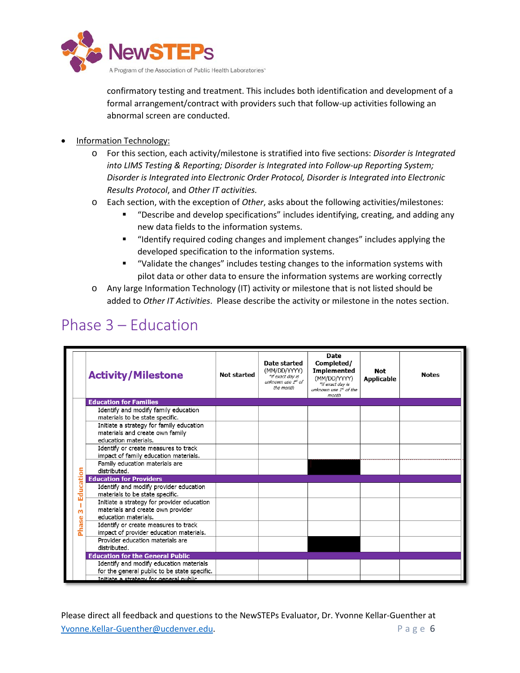

confirmatory testing and treatment. This includes both identification and development of a formal arrangement/contract with providers such that follow-up activities following an abnormal screen are conducted.

- Information Technology:
	- o For this section, each activity/milestone is stratified into five sections: *Disorder is Integrated into LIMS Testing & Reporting; Disorder is Integrated into Follow-up Reporting System; Disorder is Integrated into Electronic Order Protocol, Disorder is Integrated into Electronic Results Protocol*, and *Other IT activities.*
	- o Each section, with the exception of *Other*, asks about the following activities/milestones:
		- "Describe and develop specifications" includes identifying, creating, and adding any new data fields to the information systems.
		- "Identify required coding changes and implement changes" includes applying the developed specification to the information systems.
		- "Validate the changes" includes testing changes to the information systems with pilot data or other data to ensure the information systems are working correctly
	- o Any large Information Technology (IT) activity or milestone that is not listed should be added to *Other IT Activities*. Please describe the activity or milestone in the notes section.

### Phase 3 – Education

|              | <b>Activity/Milestone</b>                                                                               | <b>Not started</b> | Date started<br>(MM/DD/YYYY)<br>*if exact day is<br>unknown use 1st of<br>the month | Date<br>Completed/<br><b>Implemented</b><br>(MM/DD/YYYY)<br>*if exact day is<br>unknown use 1st of the<br>month | Not<br><b>Applicable</b> | <b>Notes</b> |
|--------------|---------------------------------------------------------------------------------------------------------|--------------------|-------------------------------------------------------------------------------------|-----------------------------------------------------------------------------------------------------------------|--------------------------|--------------|
|              | <b>Education for Families</b>                                                                           |                    |                                                                                     |                                                                                                                 |                          |              |
|              | Identify and modify family education<br>materials to be state specific.                                 |                    |                                                                                     |                                                                                                                 |                          |              |
|              | Initiate a strategy for family education<br>materials and create own family<br>education materials.     |                    |                                                                                     |                                                                                                                 |                          |              |
|              | Identify or create measures to track<br>impact of family education materials.                           |                    |                                                                                     |                                                                                                                 |                          |              |
|              | Family education materials are<br>distributed.                                                          |                    |                                                                                     |                                                                                                                 |                          |              |
|              | <b>Education for Providers</b>                                                                          |                    |                                                                                     |                                                                                                                 |                          |              |
| ucation<br>ū | Identify and modify provider education<br>materials to be state specific.                               |                    |                                                                                     |                                                                                                                 |                          |              |
| ш<br>m       | Initiate a strategy for provider education<br>materials and create own provider<br>education materials. |                    |                                                                                     |                                                                                                                 |                          |              |
| ase<br>Ë     | Identify or create measures to track<br>impact of provider education materials.                         |                    |                                                                                     |                                                                                                                 |                          |              |
|              | Provider education materials are<br>distributed.                                                        |                    |                                                                                     |                                                                                                                 |                          |              |
|              | <b>Education for the General Public</b>                                                                 |                    |                                                                                     |                                                                                                                 |                          |              |
|              | Identify and modify education materials<br>for the general public to be state specific.                 |                    |                                                                                     |                                                                                                                 |                          |              |
|              | Initiate a strategy for general public.                                                                 |                    |                                                                                     |                                                                                                                 |                          |              |